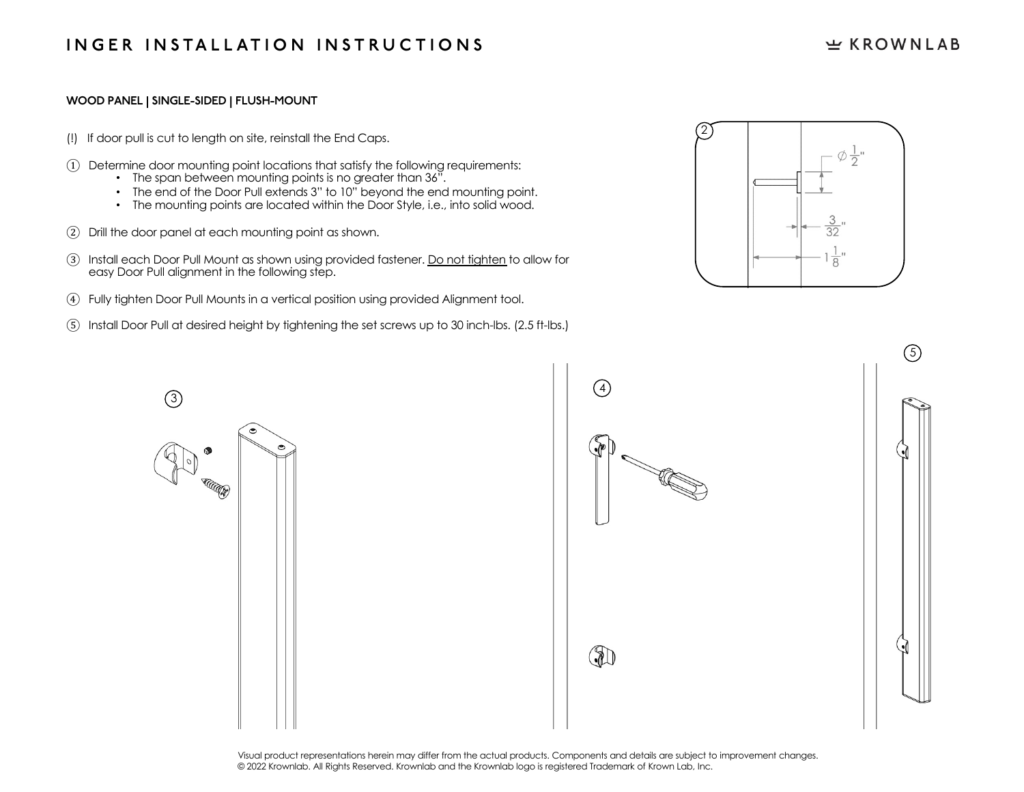## $E$  KROWNLAB

#### **WOOD PANEL | SINGLE-SIDED | FLUSH-MOUNT**

- (!) If door pull is cut to length on site, reinstall the End Caps.
- ① Determine door mounting point locations that satisfy the following requirements:
	- The span between mounting points is no greater than 36".
	- The end of the Door Pull extends 3" to 10" beyond the end mounting point.
	- The mounting points are located within the Door Style, i.e., into solid wood.
- ② Drill the door panel at each mounting point as shown.
- ③ Install each Door Pull Mount as shown using provided fastener. Do not tighten to allow for easy Door Pull alignment in the following step.
- ④ Fully tighten Door Pull Mounts in a vertical position using provided Alignment tool.
- ⑤ Install Door Pull at desired height by tightening the set screws up to 30 inch-lbs. (2.5 ft-lbs.)







Visual product representations herein may differ from the actual products. Components and details are subject to improvement changes. © 2022 Krownlab. All Rights Reserved. Krownlab and the Krownlab logo is registered Trademark of Krown Lab, Inc.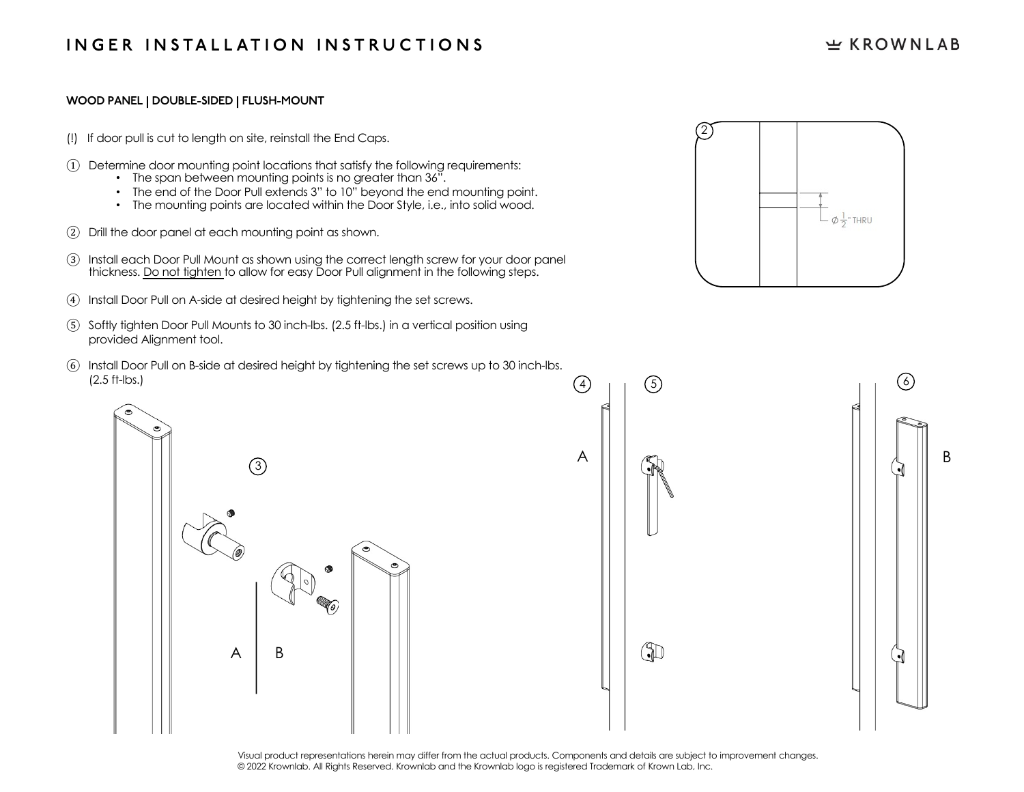# **INGER INSTALLATION INSTRUCTIONS**

### $E$  KROWNLAB

#### **WOOD PANEL | DOUBLE-SIDED | FLUSH-MOUNT**

- (!) If door pull is cut to length on site, reinstall the End Caps.
- ① Determine door mounting point locations that satisfy the following requirements:
	- The span between mounting points is no greater than 36".
	- The end of the Door Pull extends 3" to 10" beyond the end mounting point.
	- The mounting points are located within the Door Style, i.e., into solid wood.
- ② Drill the door panel at each mounting point as shown.
- ③ Install each Door Pull Mount as shown using the correct length screw for your door panel thickness. Do not tighten to allow for easy Door Pull alignment in the following steps.
- ④ Install Door Pull on A-side at desired height by tightening the set screws.
- ⑤ Softly tighten Door Pull Mounts to 30 inch-lbs. (2.5 ft-lbs.) in a vertical position using provided Alignment tool.
- ⑥ Install Door Pull on B-side at desired height by tightening the set screws up to 30 inch-lbs. (2.5 ft-lbs.)







Visual product representations herein may differ from the actual products. Components and details are subject to improvement changes. © 2022 Krownlab. All Rights Reserved. Krownlab and the Krownlab logo is registered Trademark of Krown Lab, Inc.

 $\left(4\right)$ 

A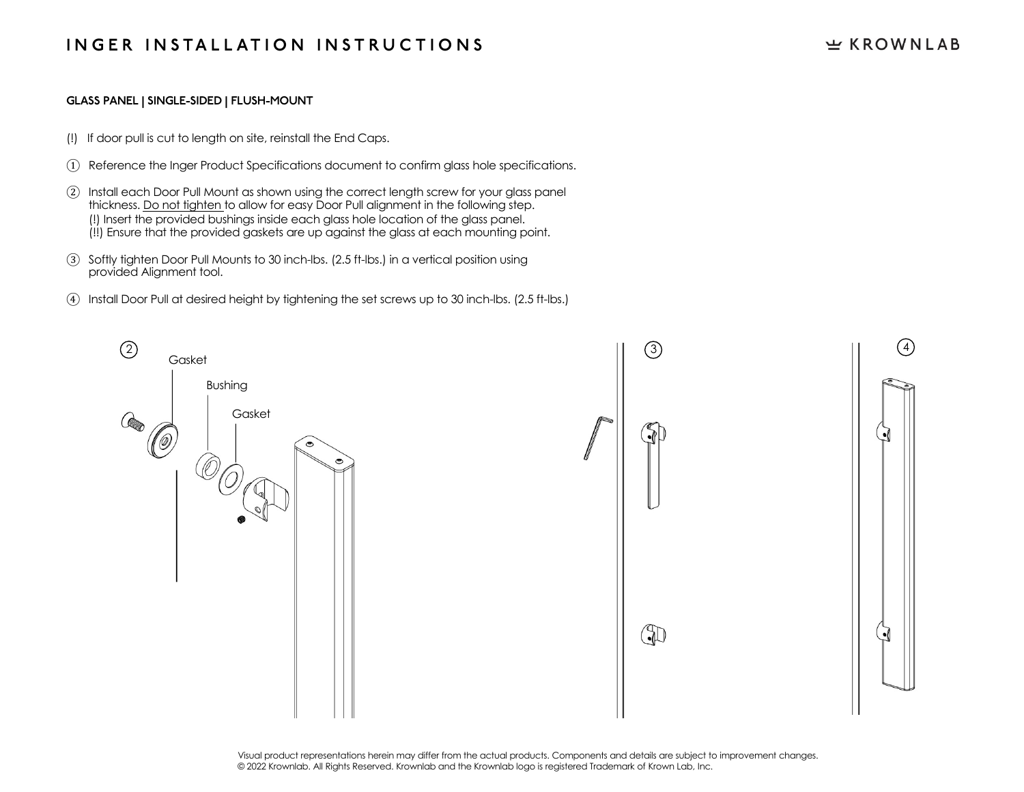# **INGER INSTALLATION INSTRUCTIONS**

### $E$  KROWNLAB

#### **GLASS PANEL | SINGLE-SIDED | FLUSH-MOUNT**

- (!) If door pull is cut to length on site, reinstall the End Caps.
- ① Reference the Inger Product Specifications document to confirm glass hole specifications.
- ② Install each Door Pull Mount as shown using the correct length screw for your glass panel thickness. Do not tighten to allow for easy Door Pull alignment in the following step. (!) Insert the provided bushings inside each glass hole location of the glass panel. (!!) Ensure that the provided gaskets are up against the glass at each mounting point.
- ③ Softly tighten Door Pull Mounts to 30 inch-lbs. (2.5 ft-lbs.) in a vertical position using provided Alignment tool.
- ④ Install Door Pull at desired height by tightening the set screws up to 30 inch-lbs. (2.5 ft-lbs.)



Visual product representations herein may differ from the actual products. Components and details are subject to improvement changes. © 2022 Krownlab. All Rights Reserved. Krownlab and the Krownlab logo is registered Trademark of Krown Lab, Inc.